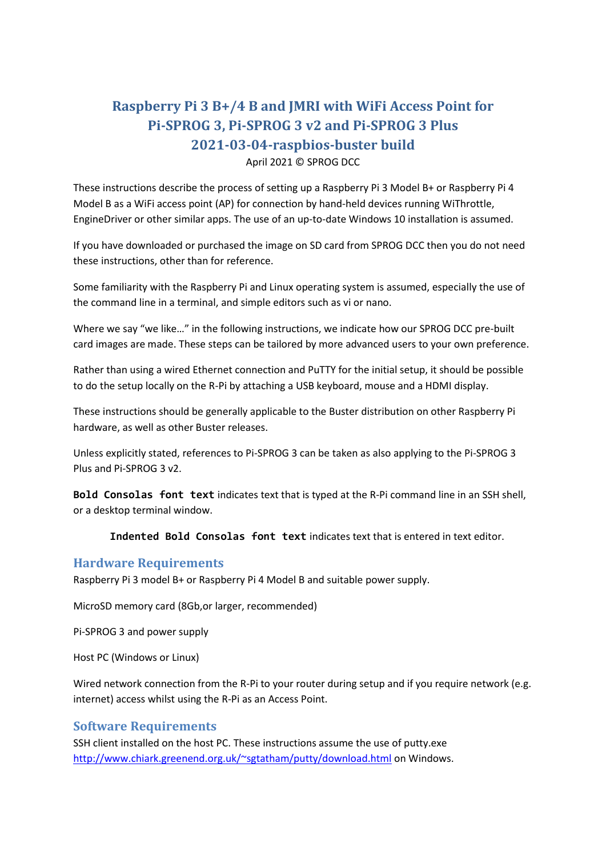# **Raspberry Pi 3 B+/4 B and JMRI with WiFi Access Point for Pi-SPROG 3, Pi-SPROG 3 v2 and Pi-SPROG 3 Plus 2021-03-04-raspbios-buster build**

#### April 2021 © SPROG DCC

These instructions describe the process of setting up a Raspberry Pi 3 Model B+ or Raspberry Pi 4 Model B as a WiFi access point (AP) for connection by hand-held devices running WiThrottle, EngineDriver or other similar apps. The use of an up-to-date Windows 10 installation is assumed.

If you have downloaded or purchased the image on SD card from SPROG DCC then you do not need these instructions, other than for reference.

Some familiarity with the Raspberry Pi and Linux operating system is assumed, especially the use of the command line in a terminal, and simple editors such as vi or nano.

Where we say "we like…" in the following instructions, we indicate how our SPROG DCC pre-built card images are made. These steps can be tailored by more advanced users to your own preference.

Rather than using a wired Ethernet connection and PuTTY for the initial setup, it should be possible to do the setup locally on the R-Pi by attaching a USB keyboard, mouse and a HDMI display.

These instructions should be generally applicable to the Buster distribution on other Raspberry Pi hardware, as well as other Buster releases.

Unless explicitly stated, references to Pi-SPROG 3 can be taken as also applying to the Pi-SPROG 3 Plus and Pi-SPROG 3 v2.

**Bold Consolas font text** indicates text that is typed at the R-Pi command line in an SSH shell, or a desktop terminal window.

**Indented Bold Consolas font text** indicates text that is entered in text editor.

### **Hardware Requirements**

Raspberry Pi 3 model B+ or Raspberry Pi 4 Model B and suitable power supply.

MicroSD memory card (8Gb,or larger, recommended)

Pi-SPROG 3 and power supply

Host PC (Windows or Linux)

Wired network connection from the R-Pi to your router during setup and if you require network (e.g. internet) access whilst using the R-Pi as an Access Point.

### **Software Requirements**

SSH client installed on the host PC. These instructions assume the use of putty.exe <http://www.chiark.greenend.org.uk/~sgtatham/putty/download.html> on Windows.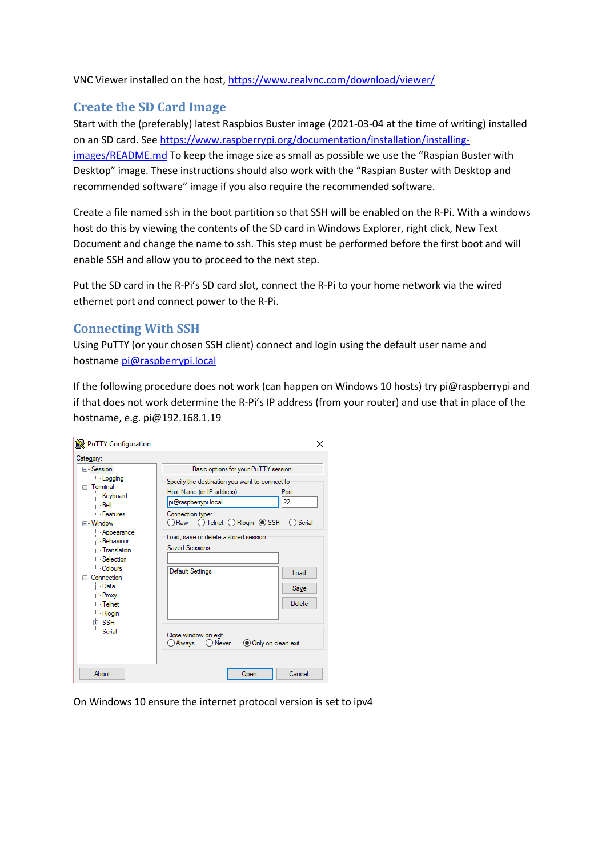VNC Viewer installed on the host,<https://www.realvnc.com/download/viewer/>

## **Create the SD Card Image**

Start with the (preferably) latest Raspbios Buster image (2021-03-04 at the time of writing) installed on an SD card. See [https://www.raspberrypi.org/documentation/installation/installing](https://www.raspberrypi.org/documentation/installation/installing-images/README.md)[images/README.md](https://www.raspberrypi.org/documentation/installation/installing-images/README.md) To keep the image size as small as possible we use the "Raspian Buster with Desktop" image. These instructions should also work with the "Raspian Buster with Desktop and recommended software" image if you also require the recommended software.

Create a file named ssh in the boot partition so that SSH will be enabled on the R-Pi. With a windows host do this by viewing the contents of the SD card in Windows Explorer, right click, New Text Document and change the name to ssh. This step must be performed before the first boot and will enable SSH and allow you to proceed to the next step.

Put the SD card in the R-Pi's SD card slot, connect the R-Pi to your home network via the wired ethernet port and connect power to the R-Pi.

## **Connecting With SSH**

Using PuTTY (or your chosen SSH client) connect and login using the default user name and hostname [pi@raspberrypi.local](mailto:pi@raspberrypi.local)

If the following procedure does not work (can happen on Windows 10 hosts) try pi@raspberrypi and if that does not work determine the R-Pi's IP address (from your router) and use that in place of the hostname, e.g. pi@192.168.1.19

| PuTTY Configuration                                                                                                                                                                                                                                                                             | ×                                                                                                                                                                                                                                                                                                                                  |
|-------------------------------------------------------------------------------------------------------------------------------------------------------------------------------------------------------------------------------------------------------------------------------------------------|------------------------------------------------------------------------------------------------------------------------------------------------------------------------------------------------------------------------------------------------------------------------------------------------------------------------------------|
| Category:<br><b>⊟</b> Session<br><b>Logging</b><br>⊟ Terminal<br>Keyboard<br>i… Bell<br>- Features<br>≐ Window<br>- Appearance<br>- Behaviour<br>- Translation<br>Selection<br>- Colours<br>⊟ Connection<br>l— Data<br>- Proxy<br>l… Telnet<br><b>Rlogin</b><br>中·SSH<br><b>Serial</b><br>About | Basic options for your PuTTY session<br>Specify the destination you want to connect to<br>Host Name (or IP address)<br>Port<br>22<br>pi@raspbenypi.local<br>Connection type:<br>Raw O Telnet O Rlogin O SSH<br>Serial<br>Load, save or delete a stored session<br><b>Saved Sessions</b><br><b>Default Settings</b><br>Load<br>Save |
|                                                                                                                                                                                                                                                                                                 | Delete<br>Close window on exit:<br>Only on clean exit<br>Always<br>$\bigcirc$ Never<br>Cancel<br>Open                                                                                                                                                                                                                              |

On Windows 10 ensure the internet protocol version is set to ipv4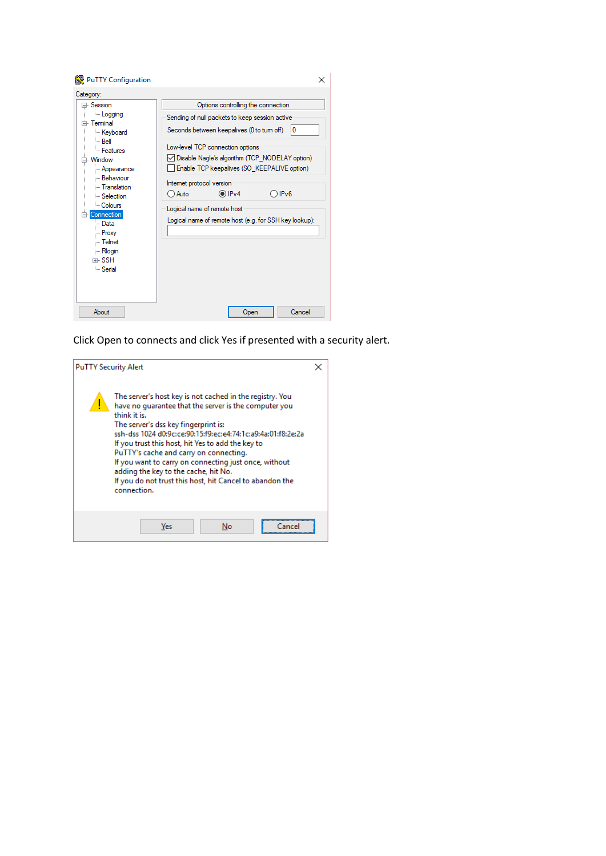

Click Open to connects and click Yes if presented with a security alert.

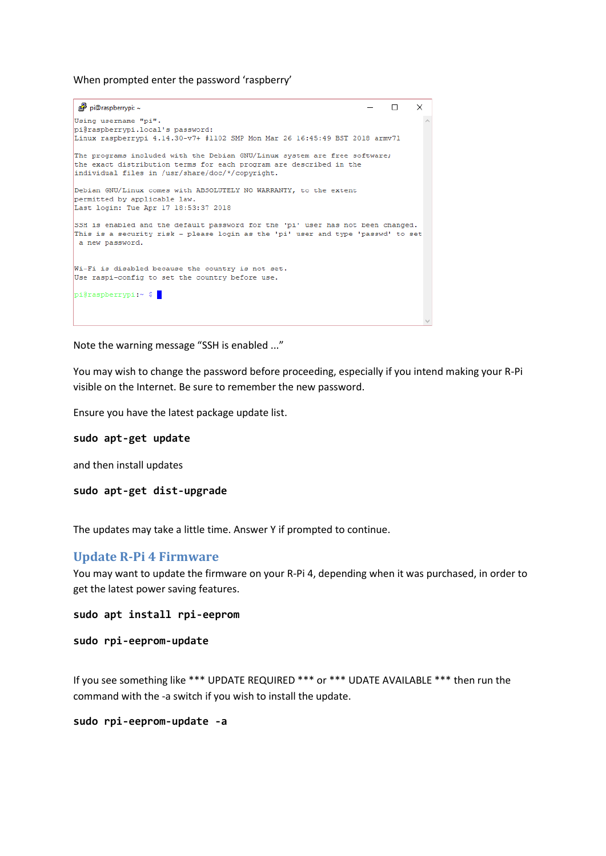When prompted enter the password 'raspberry'

```
pi@raspberrypi: ~
                                                                          \Box\timesUsing username "pi".
pi@raspberrypi.local's password:
Linux raspberrypi 4.14.30-v7+ #1102 SMP Mon Mar 26 16:45:49 BST 2018 armv71
The programs included with the Debian GNU/Linux system are free software:
the exact distribution terms for each program are described in the
individual files in /usr/share/doc/*/copyright.
Debian GNU/Linux comes with ABSOLUTELY NO WARRANTY, to the extent
permitted by applicable law.
Last login: Tue Apr 17 18:53:37 2018
SSH is enabled and the default password for the 'pi' user has not been changed.
This is a security risk - please login as the 'pi' user and type 'passwd' to set
a new password.
Wi-Fi is disabled because the country is not set.
Use raspi-config to set the country before use.
pi@raspberrypi:~ $
```
Note the warning message "SSH is enabled ..."

You may wish to change the password before proceeding, especially if you intend making your R-Pi visible on the Internet. Be sure to remember the new password.

Ensure you have the latest package update list.

#### **sudo apt-get update**

and then install updates

```
sudo apt-get dist-upgrade
```
The updates may take a little time. Answer Y if prompted to continue.

### **Update R-Pi 4 Firmware**

You may want to update the firmware on your R-Pi 4, depending when it was purchased, in order to get the latest power saving features.

```
sudo apt install rpi-eeprom
```

```
sudo rpi-eeprom-update
```
If you see something like \*\*\* UPDATE REQUIRED \*\*\* or \*\*\* UDATE AVAILABLE \*\*\* then run the command with the -a switch if you wish to install the update.

**sudo rpi-eeprom-update -a**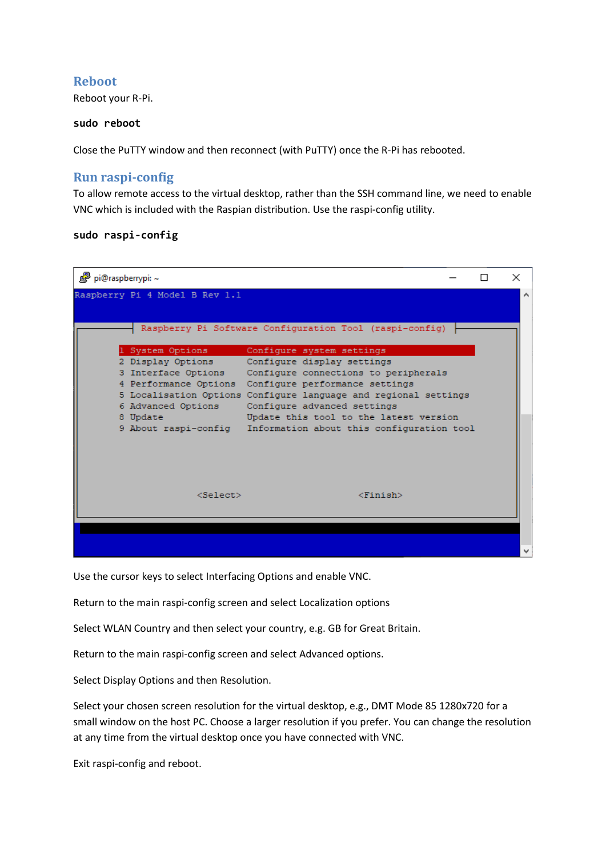## **Reboot**

Reboot your R-Pi.

### **sudo reboot**

Close the PuTTY window and then reconnect (with PuTTY) once the R-Pi has rebooted.

## **Run raspi-config**

To allow remote access to the virtual desktop, rather than the SSH command line, we need to enable VNC which is included with the Raspian distribution. Use the raspi-config utility.

### **sudo raspi-config**



Use the cursor keys to select Interfacing Options and enable VNC.

Return to the main raspi-config screen and select Localization options

Select WLAN Country and then select your country, e.g. GB for Great Britain.

Return to the main raspi-config screen and select Advanced options.

Select Display Options and then Resolution.

Select your chosen screen resolution for the virtual desktop, e.g., DMT Mode 85 1280x720 for a small window on the host PC. Choose a larger resolution if you prefer. You can change the resolution at any time from the virtual desktop once you have connected with VNC.

Exit raspi-config and reboot.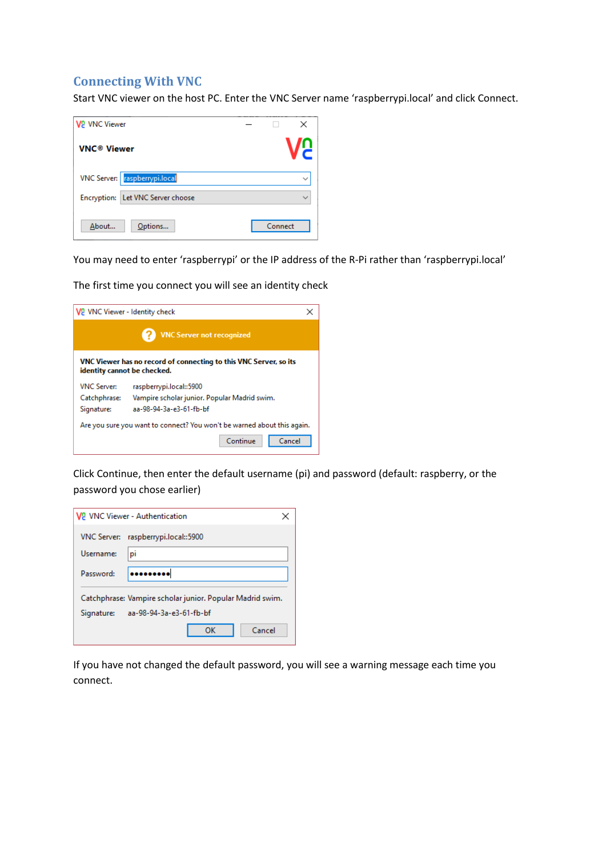## **Connecting With VNC**

Start VNC viewer on the host PC. Enter the VNC Server name 'raspberrypi.local' and click Connect.

| <b>V2 VNC Viewer</b>              | ×       |
|-----------------------------------|---------|
| <b>VNC<sup>®</sup> Viewer</b>     |         |
| VNC Server: raspberrypi.local     |         |
| Encryption: Let VNC Server choose |         |
| About<br>Options                  | Connect |

You may need to enter 'raspberrypi' or the IP address of the R-Pi rather than 'raspberrypi.local'

The first time you connect you will see an identity check

| V <sub>2</sub> VNC Viewer - Identity check                                                       |                                              |  |  |
|--------------------------------------------------------------------------------------------------|----------------------------------------------|--|--|
| <b>VNC Server not recognized</b>                                                                 |                                              |  |  |
| VNC Viewer has no record of connecting to this VNC Server, so its<br>identity cannot be checked. |                                              |  |  |
| <b>VNC Server:</b>                                                                               | raspberrypi.local::5900                      |  |  |
| Catchphrase:                                                                                     | Vampire scholar junior. Popular Madrid swim. |  |  |
| Signature:                                                                                       | aa-98-94-3a-e3-61-fb-bf                      |  |  |
| Are you sure you want to connect? You won't be warned about this again.                          |                                              |  |  |
|                                                                                                  | Continue<br>Cancel                           |  |  |

Click Continue, then enter the default username (pi) and password (default: raspberry, or the password you chose earlier)

|                                                                                                 | <b>V2</b> VNC Viewer - Authentication |  |  |
|-------------------------------------------------------------------------------------------------|---------------------------------------|--|--|
| <b>VNC Server:</b>                                                                              | raspberrypi.local::5900               |  |  |
| Username:                                                                                       | pi                                    |  |  |
| Password:                                                                                       |                                       |  |  |
| Catchphrase: Vampire scholar junior. Popular Madrid swim.<br>Signature: aa-98-94-3a-e3-61-fb-bf |                                       |  |  |
|                                                                                                 | Cancel<br>ок                          |  |  |

If you have not changed the default password, you will see a warning message each time you connect.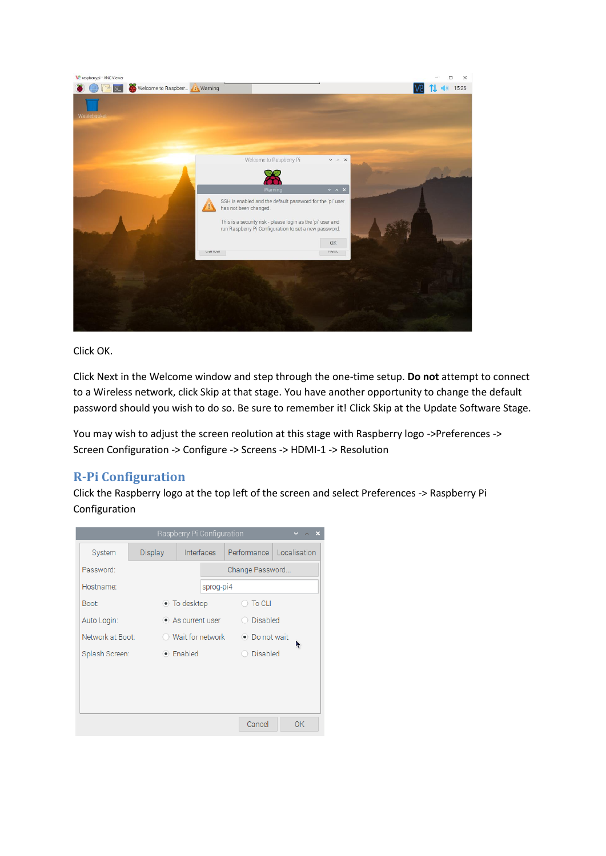

Click OK.

Click Next in the Welcome window and step through the one-time setup. **Do not** attempt to connect to a Wireless network, click Skip at that stage. You have another opportunity to change the default password should you wish to do so. Be sure to remember it! Click Skip at the Update Software Stage.

You may wish to adjust the screen reolution at this stage with Raspberry logo ->Preferences -> Screen Configuration -> Configure -> Screens -> HDMI-1 -> Resolution

## **R-Pi Configuration**

Click the Raspberry logo at the top left of the screen and select Preferences -> Raspberry Pi Configuration

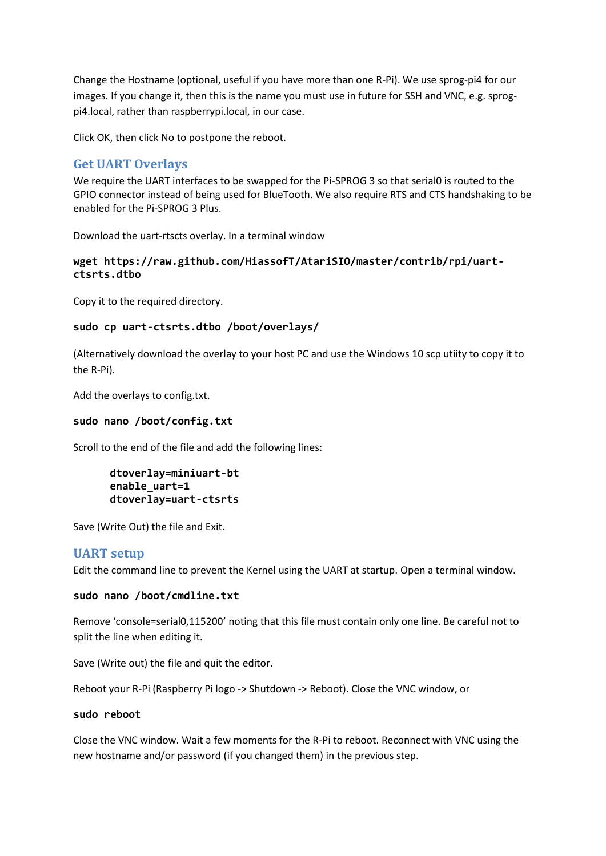Change the Hostname (optional, useful if you have more than one R-Pi). We use sprog-pi4 for our images. If you change it, then this is the name you must use in future for SSH and VNC, e.g. sprogpi4.local, rather than raspberrypi.local, in our case.

Click OK, then click No to postpone the reboot.

## **Get UART Overlays**

We require the UART interfaces to be swapped for the Pi-SPROG 3 so that serial0 is routed to the GPIO connector instead of being used for BlueTooth. We also require RTS and CTS handshaking to be enabled for the Pi-SPROG 3 Plus.

Download the uart-rtscts overlay. In a terminal window

### **wget https://raw.github.com/HiassofT/AtariSIO/master/contrib/rpi/uartctsrts.dtbo**

Copy it to the required directory.

### **sudo cp uart-ctsrts.dtbo /boot/overlays/**

(Alternatively download the overlay to your host PC and use the Windows 10 scp utiity to copy it to the R-Pi).

Add the overlays to config.txt.

### **sudo nano /boot/config.txt**

Scroll to the end of the file and add the following lines:

```
dtoverlay=miniuart-bt
enable_uart=1
dtoverlay=uart-ctsrts
```
Save (Write Out) the file and Exit.

### **UART setup**

Edit the command line to prevent the Kernel using the UART at startup. Open a terminal window.

### **sudo nano /boot/cmdline.txt**

Remove 'console=serial0,115200' noting that this file must contain only one line. Be careful not to split the line when editing it.

Save (Write out) the file and quit the editor.

Reboot your R-Pi (Raspberry Pi logo -> Shutdown -> Reboot). Close the VNC window, or

### **sudo reboot**

Close the VNC window. Wait a few moments for the R-Pi to reboot. Reconnect with VNC using the new hostname and/or password (if you changed them) in the previous step.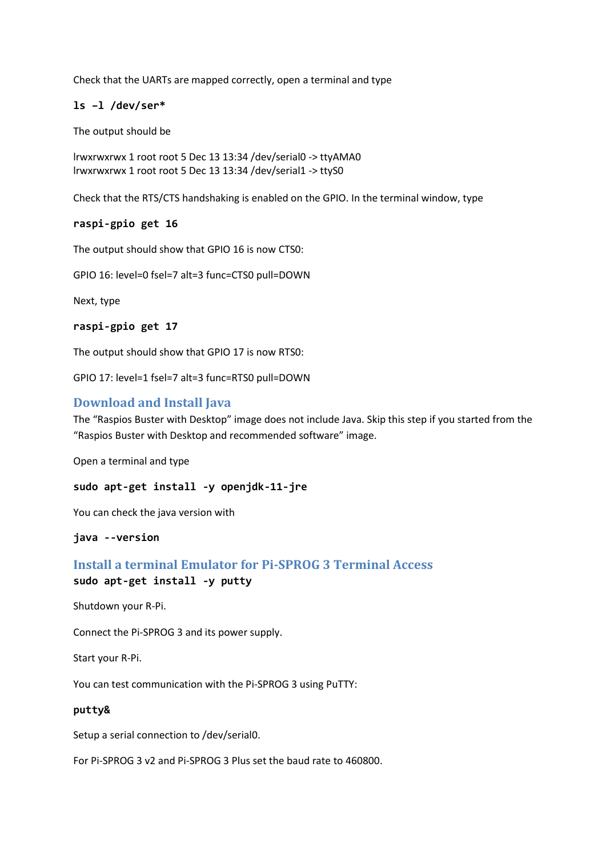Check that the UARTs are mapped correctly, open a terminal and type

### **ls –l /dev/ser\***

The output should be

lrwxrwxrwx 1 root root 5 Dec 13 13:34 /dev/serial0 -> ttyAMA0 lrwxrwxrwx 1 root root 5 Dec 13 13:34 /dev/serial1 -> ttyS0

Check that the RTS/CTS handshaking is enabled on the GPIO. In the terminal window, type

### **raspi-gpio get 16**

The output should show that GPIO 16 is now CTS0:

GPIO 16: level=0 fsel=7 alt=3 func=CTS0 pull=DOWN

Next, type

#### **raspi-gpio get 17**

The output should show that GPIO 17 is now RTS0:

GPIO 17: level=1 fsel=7 alt=3 func=RTS0 pull=DOWN

### **Download and Install Java**

The "Raspios Buster with Desktop" image does not include Java. Skip this step if you started from the "Raspios Buster with Desktop and recommended software" image.

Open a terminal and type

**sudo apt-get install -y openjdk-11-jre**

You can check the java version with

**java --version**

## **Install a terminal Emulator for Pi-SPROG 3 Terminal Access sudo apt-get install -y putty**

Shutdown your R-Pi.

Connect the Pi-SPROG 3 and its power supply.

Start your R-Pi.

You can test communication with the Pi-SPROG 3 using PuTTY:

#### **putty&**

Setup a serial connection to /dev/serial0.

For Pi-SPROG 3 v2 and Pi-SPROG 3 Plus set the baud rate to 460800.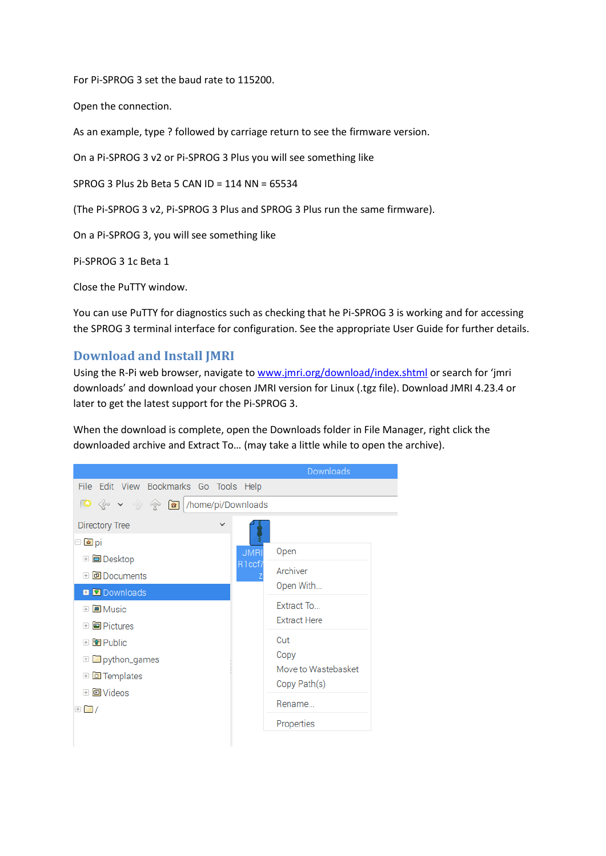For Pi-SPROG 3 set the baud rate to 115200.

Open the connection.

As an example, type ? followed by carriage return to see the firmware version.

On a Pi-SPROG 3 v2 or Pi-SPROG 3 Plus you will see something like

SPROG 3 Plus 2b Beta 5 CAN ID = 114 NN = 65534

(The Pi-SPROG 3 v2, Pi-SPROG 3 Plus and SPROG 3 Plus run the same firmware).

On a Pi-SPROG 3, you will see something like

Pi-SPROG 3 1c Beta 1

Close the PuTTY window.

You can use PuTTY for diagnostics such as checking that he Pi-SPROG 3 is working and for accessing the SPROG 3 terminal interface for configuration. See the appropriate User Guide for further details.

## **Download and Install JMRI**

Using the R-Pi web browser, navigate to [www.jmri.org/download/](http://www.jmri.org/download)index.shtml or search for 'jmri downloads' and download your chosen JMRI version for Linux (.tgz file). Download JMRI 4.23.4 or later to get the latest support for the Pi-SPROG 3.

When the download is complete, open the Downloads folder in File Manager, right click the downloaded archive and Extract To… (may take a little while to open the archive).

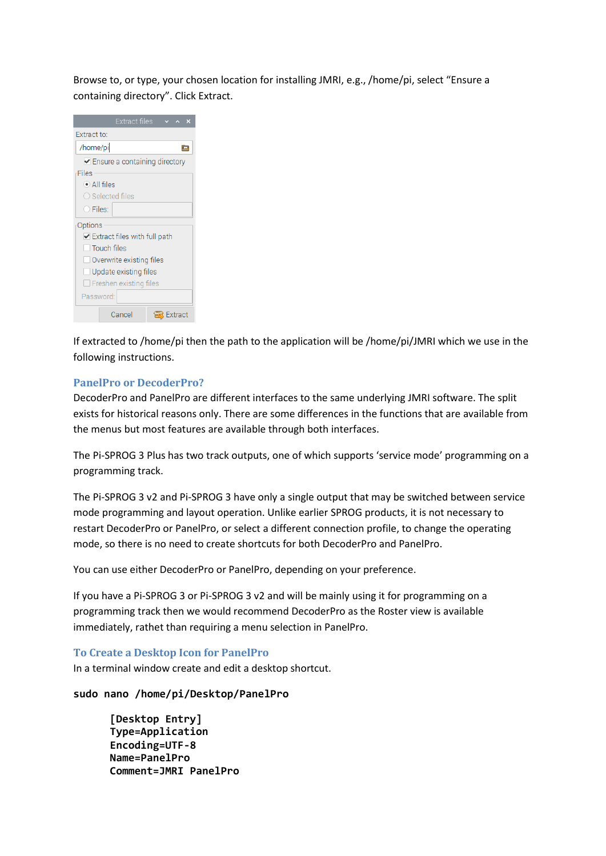Browse to, or type, your chosen location for installing JMRI, e.g., /home/pi, select "Ensure a containing directory". Click Extract.

| Extract files<br>$\times$ $\times$ $\times$         |  |  |  |
|-----------------------------------------------------|--|--|--|
| Extract to:                                         |  |  |  |
| /home/pil<br>œ                                      |  |  |  |
| $\blacktriangleright$ Ensure a containing directory |  |  |  |
| Files                                               |  |  |  |
| $\bullet$ All files                                 |  |  |  |
| $\bigcirc$ Selected files                           |  |  |  |
| O Files:                                            |  |  |  |
| Options                                             |  |  |  |
| $\blacktriangleright$ Extract files with full path  |  |  |  |
| l Touch files                                       |  |  |  |
| Overwrite existing files                            |  |  |  |
| $\Box$ Update existing files                        |  |  |  |
| $\Box$ Freshen existing files                       |  |  |  |
| Password:                                           |  |  |  |
| Cancel<br><b>Sextract</b>                           |  |  |  |

If extracted to /home/pi then the path to the application will be /home/pi/JMRI which we use in the following instructions.

### **PanelPro or DecoderPro?**

DecoderPro and PanelPro are different interfaces to the same underlying JMRI software. The split exists for historical reasons only. There are some differences in the functions that are available from the menus but most features are available through both interfaces.

The Pi-SPROG 3 Plus has two track outputs, one of which supports 'service mode' programming on a programming track.

The Pi-SPROG 3 v2 and Pi-SPROG 3 have only a single output that may be switched between service mode programming and layout operation. Unlike earlier SPROG products, it is not necessary to restart DecoderPro or PanelPro, or select a different connection profile, to change the operating mode, so there is no need to create shortcuts for both DecoderPro and PanelPro.

You can use either DecoderPro or PanelPro, depending on your preference.

If you have a Pi-SPROG 3 or Pi-SPROG 3 v2 and will be mainly using it for programming on a programming track then we would recommend DecoderPro as the Roster view is available immediately, rathet than requiring a menu selection in PanelPro.

### **To Create a Desktop Icon for PanelPro**

In a terminal window create and edit a desktop shortcut.

### **sudo nano /home/pi/Desktop/PanelPro**

**[Desktop Entry] Type=Application Encoding=UTF-8 Name=PanelPro Comment=JMRI PanelPro**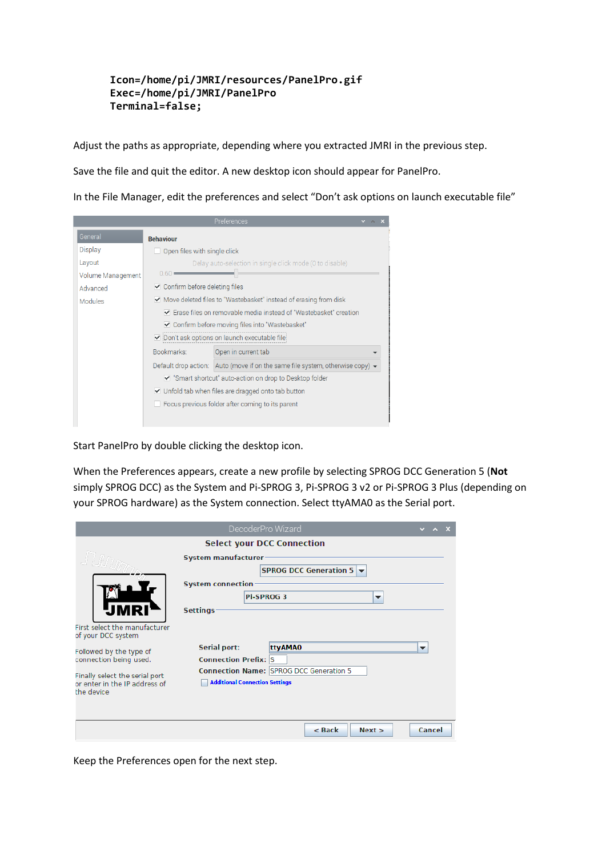### **Icon=/home/pi/JMRI/resources/PanelPro.gif Exec=/home/pi/JMRI/PanelPro Terminal=false;**

Adjust the paths as appropriate, depending where you extracted JMRI in the previous step.

Save the file and quit the editor. A new desktop icon should appear for PanelPro.

In the File Manager, edit the preferences and select "Don't ask options on launch executable file"

|                   |                                                                                                       | Preferences                                                                               |  |
|-------------------|-------------------------------------------------------------------------------------------------------|-------------------------------------------------------------------------------------------|--|
| General           | <b>Behaviour</b>                                                                                      |                                                                                           |  |
| Display           | Open files with single click                                                                          |                                                                                           |  |
| Layout            | Delay auto-selection in single click mode (0 to disable)                                              |                                                                                           |  |
| Volume Management | 0.60                                                                                                  |                                                                                           |  |
| Advanced          | <b>✓</b> Confirm before deleting files                                                                |                                                                                           |  |
| <b>Modules</b>    | Move deleted files to "Wastebasket" instead of erasing from disk                                      |                                                                                           |  |
|                   | ▼ Frase files on removable media instead of "Wastebasket" creation                                    |                                                                                           |  |
|                   | ✔ Confirm before moving files into "Wastebasket"                                                      |                                                                                           |  |
|                   | ○ Don't ask options on launch executable file                                                         |                                                                                           |  |
|                   | Bookmarks:                                                                                            | Open in current tab                                                                       |  |
|                   |                                                                                                       | Default drop action: Auto (move if on the same file system, otherwise copy) $\rightarrow$ |  |
|                   |                                                                                                       | Smart shortcut" auto-action on drop to Desktop folder                                     |  |
|                   | Unfold tab when files are dragged onto tab button<br>Focus previous folder after coming to its parent |                                                                                           |  |
|                   |                                                                                                       |                                                                                           |  |
|                   |                                                                                                       |                                                                                           |  |

Start PanelPro by double clicking the desktop icon.

When the Preferences appears, create a new profile by selecting SPROG DCC Generation 5 (**Not** simply SPROG DCC) as the System and Pi-SPROG 3, Pi-SPROG 3 v2 or Pi-SPROG 3 Plus (depending on your SPROG hardware) as the System connection. Select ttyAMA0 as the Serial port.

|                                                     | DecoderPro Wizard                     |                                                               |        |  |
|-----------------------------------------------------|---------------------------------------|---------------------------------------------------------------|--------|--|
|                                                     | <b>Select your DCC Connection</b>     |                                                               |        |  |
|                                                     | <b>System manufacturer</b>            |                                                               |        |  |
|                                                     |                                       | <b>SPROG DCC Generation 5 <math>\blacktriangledown</math></b> |        |  |
|                                                     | <b>System connection</b>              |                                                               |        |  |
|                                                     | <b>Pi-SPROG 3</b>                     | ▼                                                             |        |  |
|                                                     | <b>Settings</b>                       |                                                               |        |  |
| First select the manufacturer<br>of your DCC system |                                       |                                                               |        |  |
| Followed by the type of<br>connection being used.   | <b>Serial port:</b>                   | ttyAMA0                                                       | ▼      |  |
|                                                     | <b>Connection Prefix: S</b>           |                                                               |        |  |
| Finally select the serial port                      |                                       | Connection Name: SPROG DCC Generation 5                       |        |  |
| or enter in the IP address of<br>the device         | <b>Additional Connection Settings</b> |                                                               |        |  |
|                                                     |                                       |                                                               |        |  |
|                                                     |                                       | $<$ Back<br>Next                                              | Cancel |  |

Keep the Preferences open for the next step.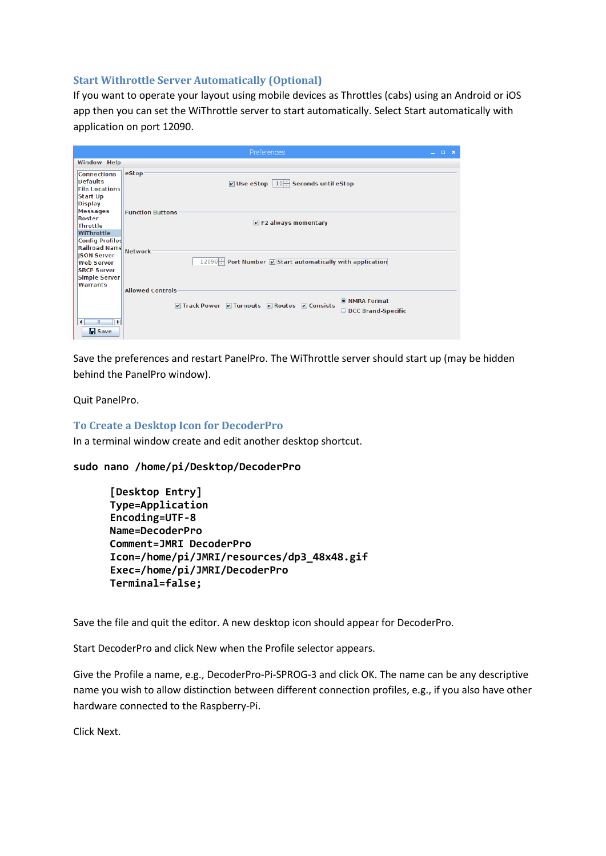### **Start Withrottle Server Automatically (Optional)**

If you want to operate your layout using mobile devices as Throttles (cabs) using an Android or iOS app then you can set the WiThrottle server to start automatically. Select Start automatically with application on port 12090.

|                                                                                                                        | Preferences                                                                                | - x<br>$\Box$<br>$\overline{\phantom{0}}$ |
|------------------------------------------------------------------------------------------------------------------------|--------------------------------------------------------------------------------------------|-------------------------------------------|
| <b>Window Help</b>                                                                                                     |                                                                                            |                                           |
| <b>Connections</b><br><b>Defaults</b><br><b>File Locations</b><br><b>Start Up</b><br><b>Display</b><br><b>Messages</b> | eStop<br><b>☑</b> Use eStop $\vert 10 \rangle$ Seconds until eStop                         |                                           |
| Roster<br>Throttle<br>WiThrottle<br><b>Config Profiles</b><br>Railroad Name                                            | <b>Function Buttons</b><br>$V$ F2 always momentary<br>Network-                             |                                           |
| <b>ISON Server</b><br><b>Web Server</b><br><b>SRCP Server</b><br>Simple Server<br>Warrants                             | 12090 Port Number   Start automatically with application<br><b>Allowed Controls</b>        |                                           |
| $\blacksquare$<br>Ш<br>⊪⊧<br>$\blacksquare$ Save                                                                       | <b>O</b> NMRA Format<br>Track Power 7 Turnouts 7 Routes 7 Consists<br>O DCC Brand-Specific |                                           |

Save the preferences and restart PanelPro. The WiThrottle server should start up (may be hidden behind the PanelPro window).

Quit PanelPro.

### **To Create a Desktop Icon for DecoderPro**

In a terminal window create and edit another desktop shortcut.

```
sudo nano /home/pi/Desktop/DecoderPro
```

```
[Desktop Entry]
Type=Application
Encoding=UTF-8
Name=DecoderPro
Comment=JMRI DecoderPro
Icon=/home/pi/JMRI/resources/dp3_48x48.gif
Exec=/home/pi/JMRI/DecoderPro
Terminal=false;
```
Save the file and quit the editor. A new desktop icon should appear for DecoderPro.

Start DecoderPro and click New when the Profile selector appears.

Give the Profile a name, e.g., DecoderPro-Pi-SPROG-3 and click OK. The name can be any descriptive name you wish to allow distinction between different connection profiles, e.g., if you also have other hardware connected to the Raspberry-Pi.

Click Next.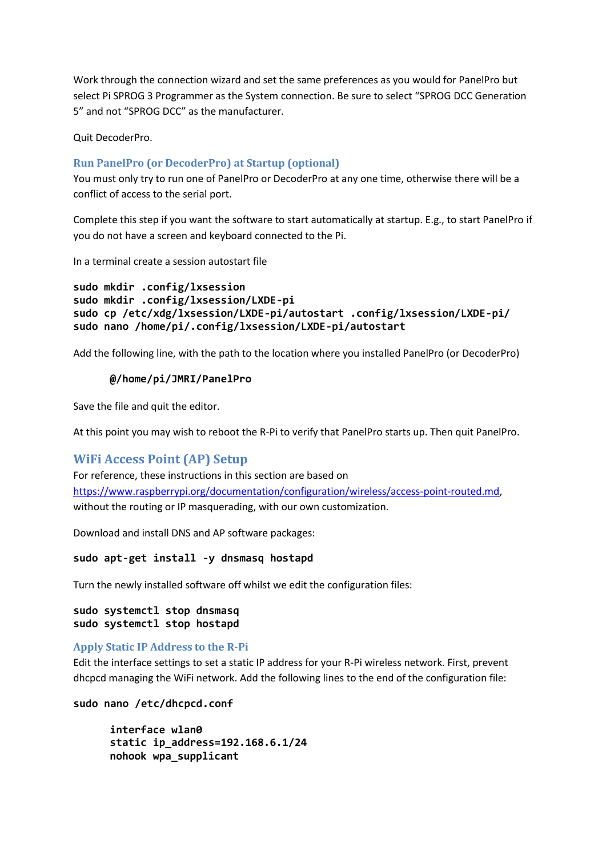Work through the connection wizard and set the same preferences as you would for PanelPro but select Pi SPROG 3 Programmer as the System connection. Be sure to select "SPROG DCC Generation 5" and not "SPROG DCC" as the manufacturer.

Quit DecoderPro.

### **Run PanelPro (or DecoderPro) at Startup (optional)**

You must only try to run one of PanelPro or DecoderPro at any one time, otherwise there will be a conflict of access to the serial port.

Complete this step if you want the software to start automatically at startup. E.g., to start PanelPro if you do not have a screen and keyboard connected to the Pi.

In a terminal create a session autostart file

```
sudo mkdir .config/lxsession
sudo mkdir .config/lxsession/LXDE-pi
sudo cp /etc/xdg/lxsession/LXDE-pi/autostart .config/lxsession/LXDE-pi/
sudo nano /home/pi/.config/lxsession/LXDE-pi/autostart
```
Add the following line, with the path to the location where you installed PanelPro (or DecoderPro)

### **@/home/pi/JMRI/PanelPro**

Save the file and quit the editor.

At this point you may wish to reboot the R-Pi to verify that PanelPro starts up. Then quit PanelPro.

### **WiFi Access Point (AP) Setup**

For reference, these instructions in this section are based on [https://www.raspberrypi.org/documentation/configuration/wireless/access-point-routed.md,](https://www.raspberrypi.org/documentation/configuration/wireless/access-point-routed.md) without the routing or IP masquerading, with our own customization.

Download and install DNS and AP software packages:

#### **sudo apt-get install -y dnsmasq hostapd**

Turn the newly installed software off whilst we edit the configuration files:

```
sudo systemctl stop dnsmasq
sudo systemctl stop hostapd
```
### **Apply Static IP Address to the R-Pi**

Edit the interface settings to set a static IP address for your R-Pi wireless network. First, prevent dhcpcd managing the WiFi network. Add the following lines to the end of the configuration file:

#### **sudo nano /etc/dhcpcd.conf**

```
interface wlan0
static ip_address=192.168.6.1/24
nohook wpa_supplicant
```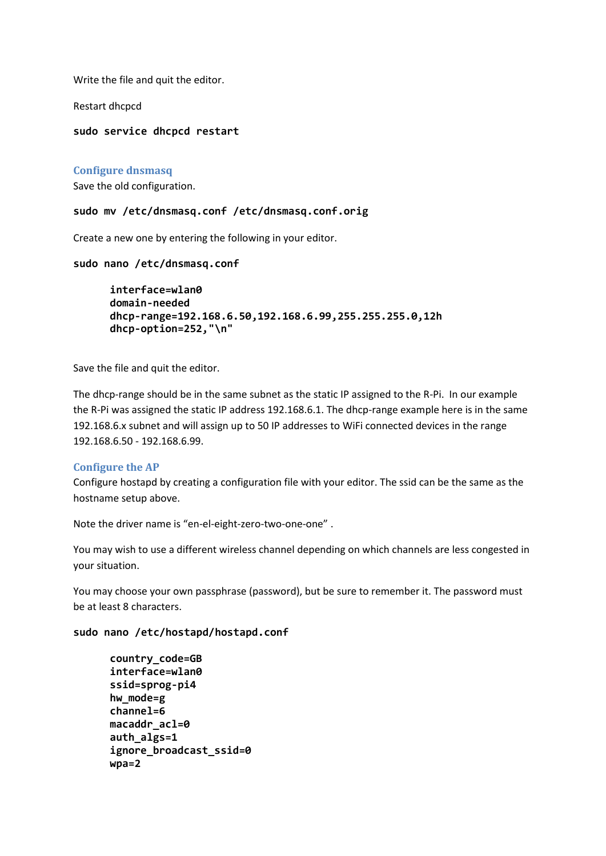Write the file and quit the editor.

Restart dhcpcd

### **sudo service dhcpcd restart**

### **Configure dnsmasq**

Save the old configuration.

#### **sudo mv /etc/dnsmasq.conf /etc/dnsmasq.conf.orig**

Create a new one by entering the following in your editor.

#### **sudo nano /etc/dnsmasq.conf**

**interface=wlan0 domain-needed dhcp-range=192.168.6.50,192.168.6.99,255.255.255.0,12h dhcp-option=252,"\n"**

Save the file and quit the editor.

The dhcp-range should be in the same subnet as the static IP assigned to the R-Pi. In our example the R-Pi was assigned the static IP address 192.168.6.1. The dhcp-range example here is in the same 192.168.6.x subnet and will assign up to 50 IP addresses to WiFi connected devices in the range 192.168.6.50 - 192.168.6.99.

### **Configure the AP**

Configure hostapd by creating a configuration file with your editor. The ssid can be the same as the hostname setup above.

Note the driver name is "en-el-eight-zero-two-one-one" .

You may wish to use a different wireless channel depending on which channels are less congested in your situation.

You may choose your own passphrase (password), but be sure to remember it. The password must be at least 8 characters.

**sudo nano /etc/hostapd/hostapd.conf**

```
country_code=GB
interface=wlan0
ssid=sprog-pi4
hw_mode=g
channel=6
macaddr_acl=0
auth_algs=1
ignore_broadcast_ssid=0
wpa=2
```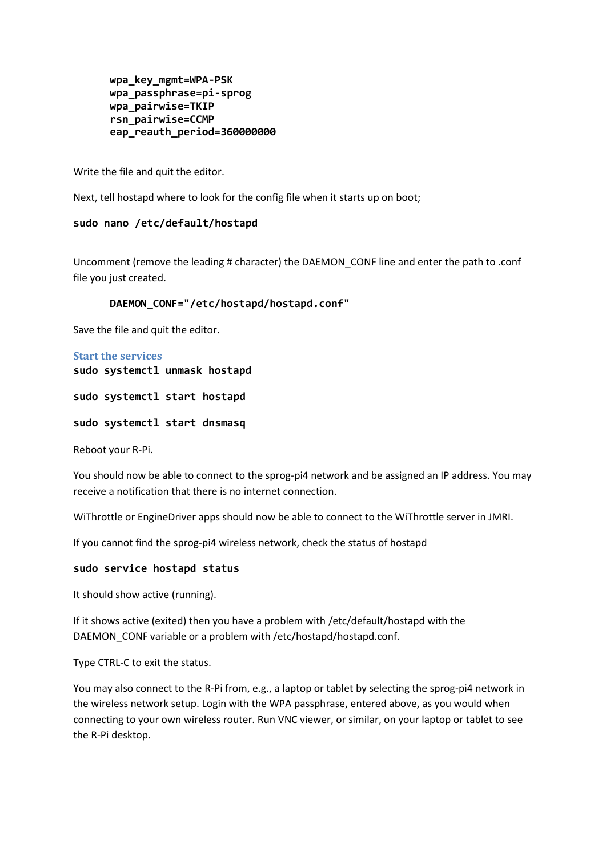```
wpa_key_mgmt=WPA-PSK
wpa_passphrase=pi-sprog
wpa_pairwise=TKIP
rsn_pairwise=CCMP
eap_reauth_period=360000000
```
Write the file and quit the editor.

Next, tell hostapd where to look for the config file when it starts up on boot;

### **sudo nano /etc/default/hostapd**

Uncomment (remove the leading # character) the DAEMON\_CONF line and enter the path to .conf file you just created.

### **DAEMON\_CONF="/etc/hostapd/hostapd.conf"**

Save the file and quit the editor.

## **Start the services sudo systemctl unmask hostapd**

**sudo systemctl start hostapd**

**sudo systemctl start dnsmasq**

Reboot your R-Pi.

You should now be able to connect to the sprog-pi4 network and be assigned an IP address. You may receive a notification that there is no internet connection.

WiThrottle or EngineDriver apps should now be able to connect to the WiThrottle server in JMRI.

If you cannot find the sprog-pi4 wireless network, check the status of hostapd

### **sudo service hostapd status**

It should show active (running).

If it shows active (exited) then you have a problem with /etc/default/hostapd with the DAEMON CONF variable or a problem with /etc/hostapd/hostapd.conf.

Type CTRL-C to exit the status.

You may also connect to the R-Pi from, e.g., a laptop or tablet by selecting the sprog-pi4 network in the wireless network setup. Login with the WPA passphrase, entered above, as you would when connecting to your own wireless router. Run VNC viewer, or similar, on your laptop or tablet to see the R-Pi desktop.